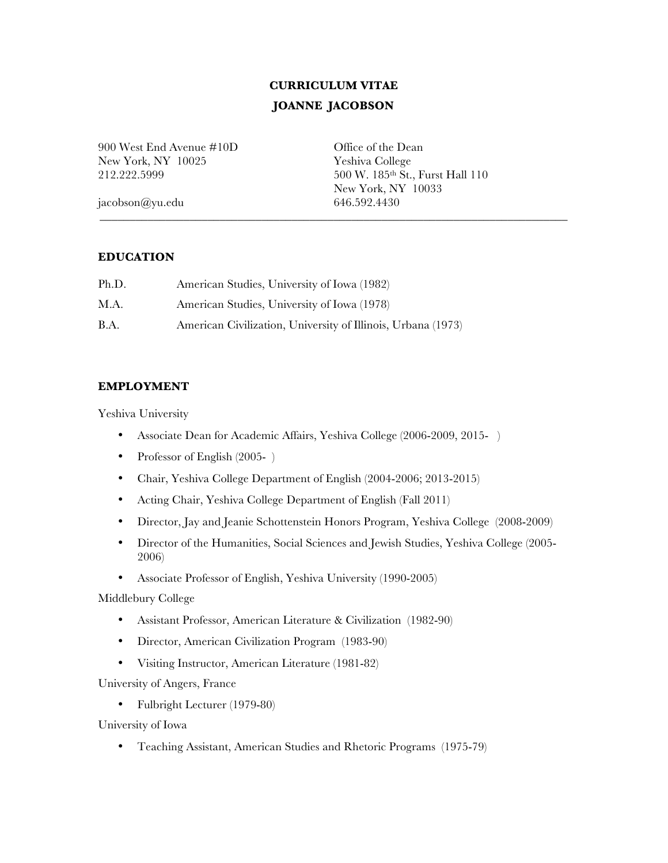# **CURRICULUM VITAE JOANNE JACOBSON**

900 West End Avenue #10D Office of the Dean New York, NY 10025 Yeshiva College

212.222.5999 500 W. 185th St., Furst Hall 110 New York, NY 10033 jacobson@yu.edu 646.592.4430

# \_\_\_\_\_\_\_\_\_\_\_\_\_\_\_\_\_\_\_\_\_\_\_\_\_\_\_\_\_\_\_\_\_\_\_\_\_\_\_\_\_\_\_\_\_\_\_\_\_\_\_\_\_\_\_\_\_\_\_\_\_\_\_\_\_\_\_\_\_\_\_\_\_\_\_\_\_\_

### **EDUCATION**

| Ph.D.       | American Studies, University of Iowa (1982)                  |
|-------------|--------------------------------------------------------------|
| M.A.        | American Studies, University of Iowa (1978)                  |
| <b>B.A.</b> | American Civilization, University of Illinois, Urbana (1973) |

## **EMPLOYMENT**

Yeshiva University

- Associate Dean for Academic Affairs, Yeshiva College (2006-2009, 2015- )
- Professor of English (2005-)
- Chair, Yeshiva College Department of English (2004-2006; 2013-2015)
- Acting Chair, Yeshiva College Department of English (Fall 2011)
- Director, Jay and Jeanie Schottenstein Honors Program, Yeshiva College (2008-2009)
- Director of the Humanities, Social Sciences and Jewish Studies, Yeshiva College (2005- 2006)
- Associate Professor of English, Yeshiva University (1990-2005)

Middlebury College

- Assistant Professor, American Literature & Civilization (1982-90)
- Director, American Civilization Program (1983-90)
- Visiting Instructor, American Literature (1981-82)

University of Angers, France

• Fulbright Lecturer (1979-80)

University of Iowa

• Teaching Assistant, American Studies and Rhetoric Programs (1975-79)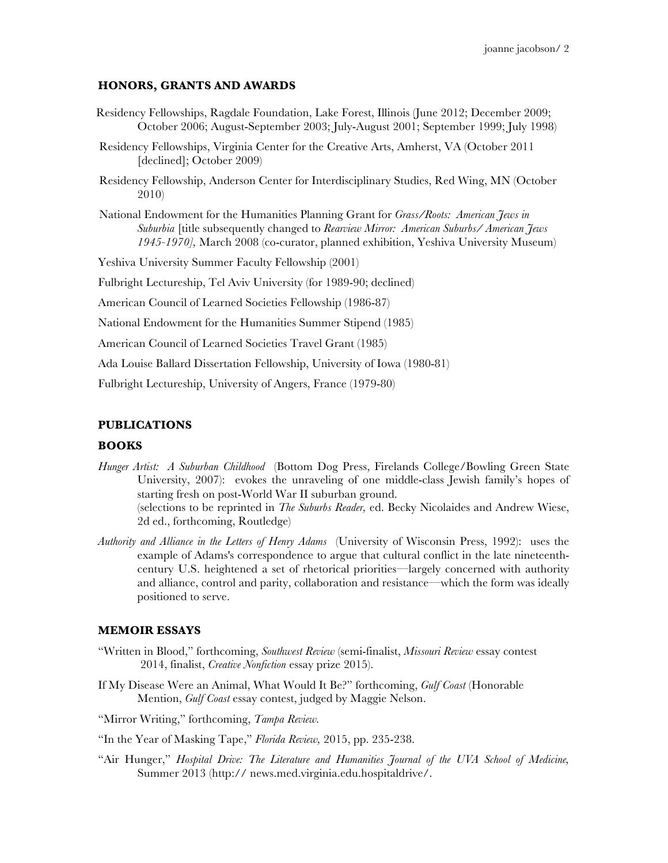#### **HONORS, GRANTS AND AWARDS**

- Residency Fellowships, Ragdale Foundation, Lake Forest, Illinois (June 2012; December 2009; October 2006; August-September 2003; July-August 2001; September 1999; July 1998)
- Residency Fellowships, Virginia Center for the Creative Arts, Amherst, VA (October 2011 [declined]; October 2009)
- Residency Fellowship, Anderson Center for Interdisciplinary Studies, Red Wing, MN (October 2010)
- National Endowment for the Humanities Planning Grant for *Grass/Roots: American Jews in Suburbia* [title subsequently changed to *Rearview Mirror: American Suburbs/ American Jews 1945-1970],* March 2008 (co-curator, planned exhibition, Yeshiva University Museum)

Yeshiva University Summer Faculty Fellowship (2001)

Fulbright Lectureship, Tel Aviv University (for 1989-90; declined)

American Council of Learned Societies Fellowship (1986-87)

National Endowment for the Humanities Summer Stipend (1985)

American Council of Learned Societies Travel Grant (1985)

Ada Louise Ballard Dissertation Fellowship, University of Iowa (1980-81)

Fulbright Lectureship, University of Angers, France (1979-80)

#### **PUBLICATIONS**

#### **BOOKS**

- *Hunger Artist: A Suburban Childhood* (Bottom Dog Press, Firelands College/Bowling Green State University, 2007): evokes the unraveling of one middle-class Jewish family's hopes of starting fresh on post-World War II suburban ground. (selections to be reprinted in *The Suburbs Reader,* ed. Becky Nicolaides and Andrew Wiese, 2d ed., forthcoming, Routledge)
- *Authority and Alliance in the Letters of Henry Adams* (University of Wisconsin Press, 1992): uses the example of Adams's correspondence to argue that cultural conflict in the late nineteenthcentury U.S. heightened a set of rhetorical priorities—largely concerned with authority and alliance, control and parity, collaboration and resistance—which the form was ideally positioned to serve.

#### **MEMOIR ESSAYS**

- "Written in Blood," forthcoming, *Southwest Review* (semi-finalist, *Missouri Review* essay contest 2014, finalist, *Creative Nonfiction* essay prize 2015).
- If My Disease Were an Animal, What Would It Be?" forthcoming, *Gulf Coast* (Honorable Mention, *Gulf Coast* essay contest, judged by Maggie Nelson.

"Mirror Writing," forthcoming, *Tampa Review.*

"In the Year of Masking Tape," *Florida Review,* 2015, pp. 235-238.

"Air Hunger," *Hospital Drive: The Literature and Humanities Journal of the UVA School of Medicine,*  Summer 2013 (http:// news.med.virginia.edu.hospitaldrive/.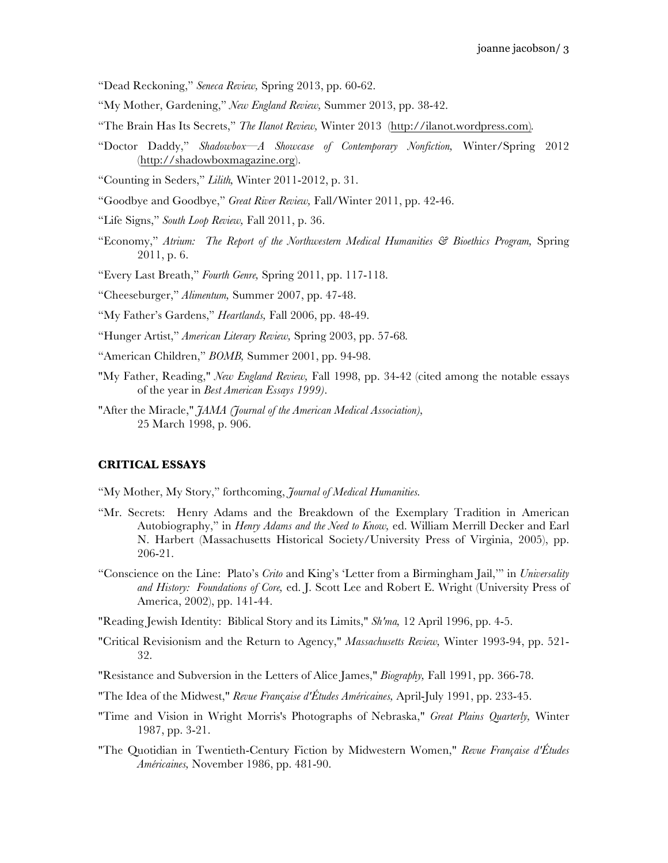"Dead Reckoning," *Seneca Review,* Spring 2013, pp. 60-62.

- "My Mother, Gardening," *New England Review,* Summer 2013, pp. 38-42.
- "The Brain Has Its Secrets," *The Ilanot Review,* Winter 2013 (http://ilanot.wordpress.com)*.*
- "Doctor Daddy," *Shadowbox—A Showcase of Contemporary Nonfiction,* Winter/Spring 2012 (http://shadowboxmagazine.org).
- "Counting in Seders," *Lilith,* Winter 2011-2012, p. 31.
- "Goodbye and Goodbye," *Great River Review,* Fall/Winter 2011, pp. 42-46.
- "Life Signs," *South Loop Review,* Fall 2011, p. 36.
- "Economy," *Atrium: The Report of the Northwestern Medical Humanities & Bioethics Program,* Spring 2011, p. 6.
- "Every Last Breath," *Fourth Genre,* Spring 2011, pp. 117-118.
- "Cheeseburger," *Alimentum,* Summer 2007, pp. 47-48.
- "My Father's Gardens," *Heartlands,* Fall 2006, pp. 48-49.
- "Hunger Artist," *American Literary Review,* Spring 2003, pp. 57-68*.*
- "American Children," *BOMB,* Summer 2001, pp. 94-98.
- "My Father, Reading," *New England Review,* Fall 1998, pp. 34-42 (cited among the notable essays of the year in *Best American Essays 1999)*.
- "After the Miracle," *JAMA (Journal of the American Medical Association),* 25 March 1998, p. 906.

#### **CRITICAL ESSAYS**

- "My Mother, My Story," forthcoming, *Journal of Medical Humanities.*
- "Mr. Secrets: Henry Adams and the Breakdown of the Exemplary Tradition in American Autobiography," in *Henry Adams and the Need to Know,* ed. William Merrill Decker and Earl N. Harbert (Massachusetts Historical Society/University Press of Virginia, 2005), pp. 206-21.
- "Conscience on the Line: Plato's *Crito* and King's 'Letter from a Birmingham Jail,'" in *Universality and History: Foundations of Core,* ed. J. Scott Lee and Robert E. Wright (University Press of America, 2002), pp. 141-44.
- "Reading Jewish Identity: Biblical Story and its Limits," *Sh'ma,* 12 April 1996, pp. 4-5.
- "Critical Revisionism and the Return to Agency," *Massachusetts Review,* Winter 1993-94, pp. 521- 32.
- "Resistance and Subversion in the Letters of Alice James," *Biography,* Fall 1991, pp. 366-78.
- "The Idea of the Midwest," *Revue Fran*ç*aise d'Études Américaines,* April-July 1991, pp. 233-45.
- "Time and Vision in Wright Morris's Photographs of Nebraska," *Great Plains Quarterly,* Winter 1987, pp. 3-21.
- "The Quotidian in Twentieth-Century Fiction by Midwestern Women," *Revue Française d'Études Américaines,* November 1986, pp. 481-90.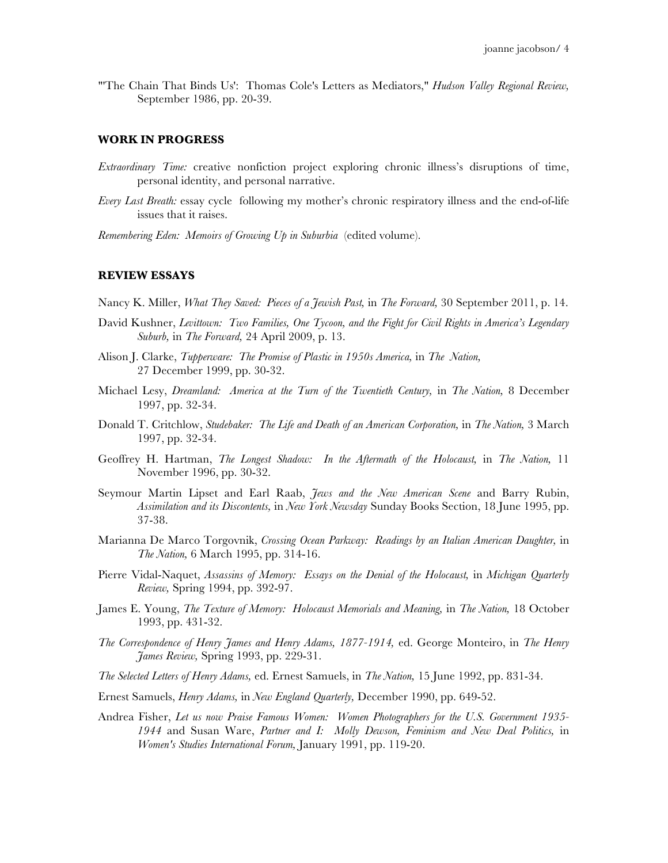"'The Chain That Binds Us': Thomas Cole's Letters as Mediators," *Hudson Valley Regional Review,*  September 1986, pp. 20-39.

#### **WORK IN PROGRESS**

- *Extraordinary Time:* creative nonfiction project exploring chronic illness's disruptions of time, personal identity, and personal narrative.
- *Every Last Breath:* essay cycle following my mother's chronic respiratory illness and the end-of-life issues that it raises.
- *Remembering Eden: Memoirs of Growing Up in Suburbia* (edited volume).

#### **REVIEW ESSAYS**

Nancy K. Miller, *What They Saved: Pieces of a Jewish Past,* in *The Forward,* 30 September 2011, p. 14.

- David Kushner, *Levittown: Two Families, One Tycoon, and the Fight for Civil Rights in America's Legendary Suburb,* in *The Forward,* 24 April 2009, p. 13.
- Alison J. Clarke, *Tupperware: The Promise of Plastic in 1950s America,* in *The Nation,* 27 December 1999, pp. 30-32.
- Michael Lesy, *Dreamland: America at the Turn of the Twentieth Century,* in *The Nation,* 8 December 1997, pp. 32-34.
- Donald T. Critchlow, *Studebaker: The Life and Death of an American Corporation,* in *The Nation,* 3 March 1997, pp. 32-34.
- Geoffrey H. Hartman, *The Longest Shadow: In the Aftermath of the Holocaust,* in *The Nation,* 11 November 1996, pp. 30-32.
- Seymour Martin Lipset and Earl Raab, *Jews and the New American Scene* and Barry Rubin, *Assimilation and its Discontents,* in *New York Newsday* Sunday Books Section, 18 June 1995, pp. 37-38.
- Marianna De Marco Torgovnik, *Crossing Ocean Parkway: Readings by an Italian American Daughter,* in *The Nation,* 6 March 1995, pp. 314-16.
- Pierre Vidal-Naquet, *Assassins of Memory:* Essays on the Denial of the Holocaust, in Michigan Quarterly *Review,* Spring 1994, pp. 392-97.
- James E. Young, *The Texture of Memory: Holocaust Memorials and Meaning,* in *The Nation,* 18 October 1993, pp. 431-32.
- *The Correspondence of Henry James and Henry Adams, 1877-1914,* ed. George Monteiro, in *The Henry James Review,* Spring 1993, pp. 229-31.
- *The Selected Letters of Henry Adams,* ed. Ernest Samuels, in *The Nation,* 15 June 1992, pp. 831-34.
- Ernest Samuels, *Henry Adams,* in *New England Quarterly,* December 1990, pp. 649-52.
- Andrea Fisher, *Let us now Praise Famous Women: Women Photographers for the U.S. Government 1935- 1944* and Susan Ware, *Partner and I: Molly Dewson, Feminism and New Deal Politics,* in *Women's Studies International Forum,* January 1991, pp. 119-20.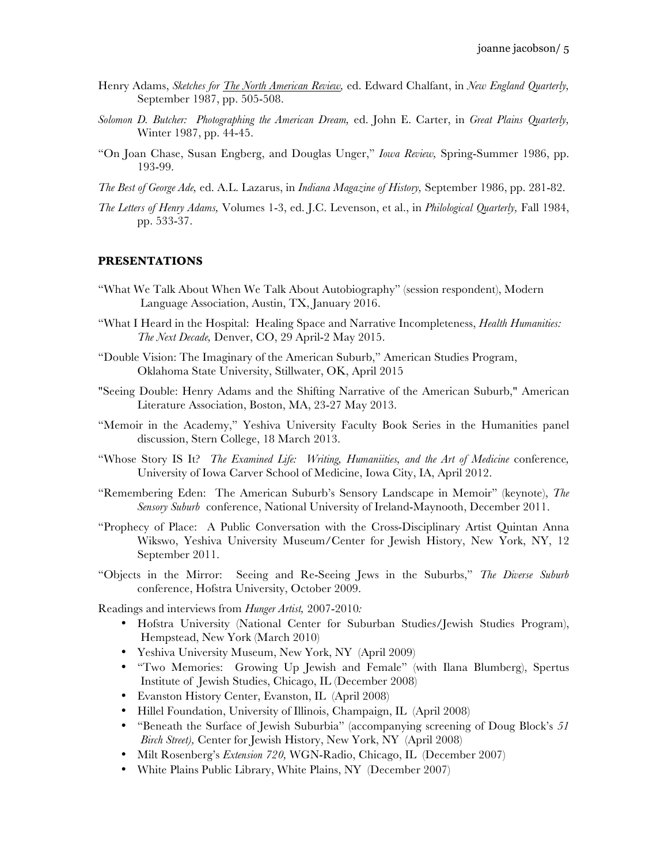- Henry Adams, *Sketches for The North American Review,* ed. Edward Chalfant, in *New England Quarterly,* September 1987, pp. 505-508.
- *Solomon D. Butcher: Photographing the American Dream,* ed. John E. Carter, in *Great Plains Quarterly,*  Winter 1987, pp. 44-45.
- "On Joan Chase, Susan Engberg, and Douglas Unger," *Iowa Review,* Spring-Summer 1986, pp. 193-99.
- *The Best of George Ade,* ed. A.L. Lazarus, in *Indiana Magazine of History,* September 1986, pp. 281-82.
- *The Letters of Henry Adams,* Volumes 1-3, ed. J.C. Levenson, et al., in *Philological Quarterly,* Fall 1984, pp. 533-37.

#### **PRESENTATIONS**

- "What We Talk About When We Talk About Autobiography" (session respondent), Modern Language Association, Austin, TX, January 2016.
- "What I Heard in the Hospital: Healing Space and Narrative Incompleteness, *Health Humanities: The Next Decade,* Denver, CO, 29 April-2 May 2015.
- "Double Vision: The Imaginary of the American Suburb," American Studies Program, Oklahoma State University, Stillwater, OK, April 2015
- "Seeing Double: Henry Adams and the Shifting Narrative of the American Suburb," American Literature Association, Boston, MA, 23-27 May 2013.
- "Memoir in the Academy," Yeshiva University Faculty Book Series in the Humanities panel discussion, Stern College, 18 March 2013.
- "Whose Story IS It? *The Examined Life: Writing, Humaniities, and the Art of Medicine* conference*,*  University of Iowa Carver School of Medicine, Iowa City, IA, April 2012.
- "Remembering Eden: The American Suburb's Sensory Landscape in Memoir" (keynote), *The Sensory Suburb* conference, National University of Ireland-Maynooth, December 2011.
- "Prophecy of Place: A Public Conversation with the Cross-Disciplinary Artist Quintan Anna Wikswo, Yeshiva University Museum/Center for Jewish History, New York, NY, 12 September 2011.
- "Objects in the Mirror: Seeing and Re-Seeing Jews in the Suburbs," *The Diverse Suburb*  conference, Hofstra University, October 2009.

Readings and interviews from *Hunger Artist,* 2007-2010*:* 

- Hofstra University (National Center for Suburban Studies/Jewish Studies Program), Hempstead, New York (March 2010)
- Yeshiva University Museum, New York, NY (April 2009)
- "Two Memories: Growing Up Jewish and Female" (with Ilana Blumberg), Spertus Institute of Jewish Studies, Chicago, IL (December 2008)
- Evanston History Center, Evanston, IL (April 2008)
- Hillel Foundation, University of Illinois, Champaign, IL (April 2008)
- "Beneath the Surface of Jewish Suburbia" (accompanying screening of Doug Block's *51 Birch Street),* Center for Jewish History, New York, NY (April 2008)
- Milt Rosenberg's *Extension 720,* WGN-Radio, Chicago, IL (December 2007)
- White Plains Public Library, White Plains, NY (December 2007)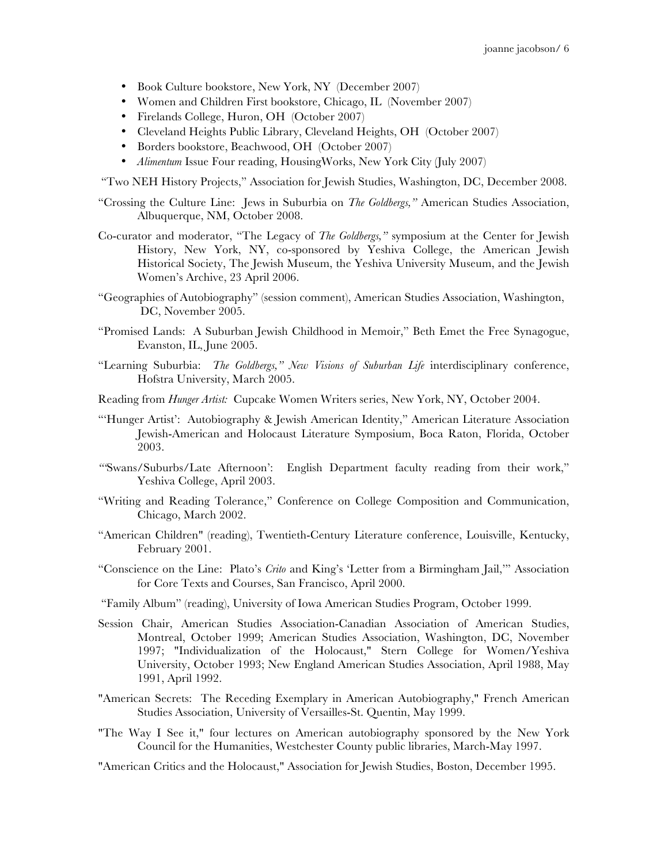- Book Culture bookstore, New York, NY (December 2007)
- Women and Children First bookstore, Chicago, IL (November 2007)
- Firelands College, Huron, OH (October 2007)
- Cleveland Heights Public Library, Cleveland Heights, OH (October 2007)
- Borders bookstore, Beachwood, OH (October 2007)
- *Alimentum* Issue Four reading, HousingWorks, New York City (July 2007)

"Two NEH History Projects," Association for Jewish Studies, Washington, DC, December 2008.

- "Crossing the Culture Line: Jews in Suburbia on *The Goldbergs,"* American Studies Association, Albuquerque, NM, October 2008.
- Co-curator and moderator, "The Legacy of *The Goldbergs,"* symposium at the Center for Jewish History, New York, NY, co-sponsored by Yeshiva College, the American Jewish Historical Society, The Jewish Museum, the Yeshiva University Museum, and the Jewish Women's Archive, 23 April 2006.
- "Geographies of Autobiography" (session comment), American Studies Association, Washington, DC, November 2005.
- "Promised Lands: A Suburban Jewish Childhood in Memoir," Beth Emet the Free Synagogue, Evanston, IL, June 2005.
- "Learning Suburbia: *The Goldbergs," New Visions of Suburban Life* interdisciplinary conference, Hofstra University, March 2005.
- Reading from *Hunger Artist:* Cupcake Women Writers series, New York, NY, October 2004.
- "Hunger Artist': Autobiography & Jewish American Identity," American Literature Association Jewish-American and Holocaust Literature Symposium, Boca Raton, Florida, October 2003.
- *"'*Swans/Suburbs/Late Afternoon': English Department faculty reading from their work," Yeshiva College, April 2003.
- "Writing and Reading Tolerance," Conference on College Composition and Communication, Chicago, March 2002.
- "American Children" (reading), Twentieth-Century Literature conference, Louisville, Kentucky, February 2001.
- "Conscience on the Line: Plato's *Crito* and King's 'Letter from a Birmingham Jail,'" Association for Core Texts and Courses, San Francisco, April 2000.
- "Family Album" (reading), University of Iowa American Studies Program, October 1999.
- Session Chair, American Studies Association-Canadian Association of American Studies, Montreal, October 1999; American Studies Association, Washington, DC, November 1997; "Individualization of the Holocaust," Stern College for Women/Yeshiva University, October 1993; New England American Studies Association, April 1988, May 1991, April 1992.
- "American Secrets: The Receding Exemplary in American Autobiography," French American Studies Association, University of Versailles-St. Quentin, May 1999.
- "The Way I See it," four lectures on American autobiography sponsored by the New York Council for the Humanities, Westchester County public libraries, March-May 1997.
- "American Critics and the Holocaust," Association for Jewish Studies, Boston, December 1995.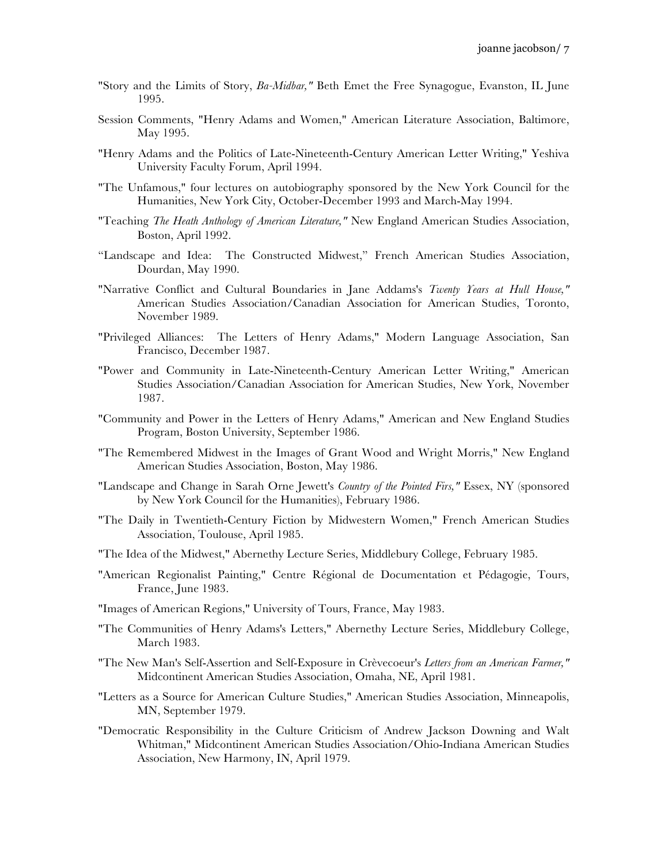- "Story and the Limits of Story, *Ba-Midbar,"* Beth Emet the Free Synagogue, Evanston, IL June 1995.
- Session Comments, "Henry Adams and Women," American Literature Association, Baltimore, May 1995.
- "Henry Adams and the Politics of Late-Nineteenth-Century American Letter Writing," Yeshiva University Faculty Forum, April 1994.
- "The Unfamous," four lectures on autobiography sponsored by the New York Council for the Humanities, New York City, October-December 1993 and March-May 1994.
- "Teaching *The Heath Anthology of American Literature,"* New England American Studies Association, Boston, April 1992.
- "Landscape and Idea: The Constructed Midwest," French American Studies Association, Dourdan, May 1990.
- "Narrative Conflict and Cultural Boundaries in Jane Addams's *Twenty Years at Hull House,"*  American Studies Association/Canadian Association for American Studies, Toronto, November 1989.
- "Privileged Alliances: The Letters of Henry Adams," Modern Language Association, San Francisco, December 1987.
- "Power and Community in Late-Nineteenth-Century American Letter Writing," American Studies Association/Canadian Association for American Studies, New York, November 1987.
- "Community and Power in the Letters of Henry Adams," American and New England Studies Program, Boston University, September 1986.
- "The Remembered Midwest in the Images of Grant Wood and Wright Morris," New England American Studies Association, Boston, May 1986.
- "Landscape and Change in Sarah Orne Jewett's *Country of the Pointed Firs,"* Essex, NY (sponsored by New York Council for the Humanities), February 1986.
- "The Daily in Twentieth-Century Fiction by Midwestern Women," French American Studies Association, Toulouse, April 1985.
- "The Idea of the Midwest," Abernethy Lecture Series, Middlebury College, February 1985.
- "American Regionalist Painting," Centre Régional de Documentation et Pédagogie, Tours, France, June 1983.
- "Images of American Regions," University of Tours, France, May 1983.
- "The Communities of Henry Adams's Letters," Abernethy Lecture Series, Middlebury College, March 1983.
- "The New Man's Self-Assertion and Self-Exposure in Crèvecoeur's *Letters from an American Farmer,"*  Midcontinent American Studies Association, Omaha, NE, April 1981.
- "Letters as a Source for American Culture Studies," American Studies Association, Minneapolis, MN, September 1979.
- "Democratic Responsibility in the Culture Criticism of Andrew Jackson Downing and Walt Whitman," Midcontinent American Studies Association/Ohio-Indiana American Studies Association, New Harmony, IN, April 1979.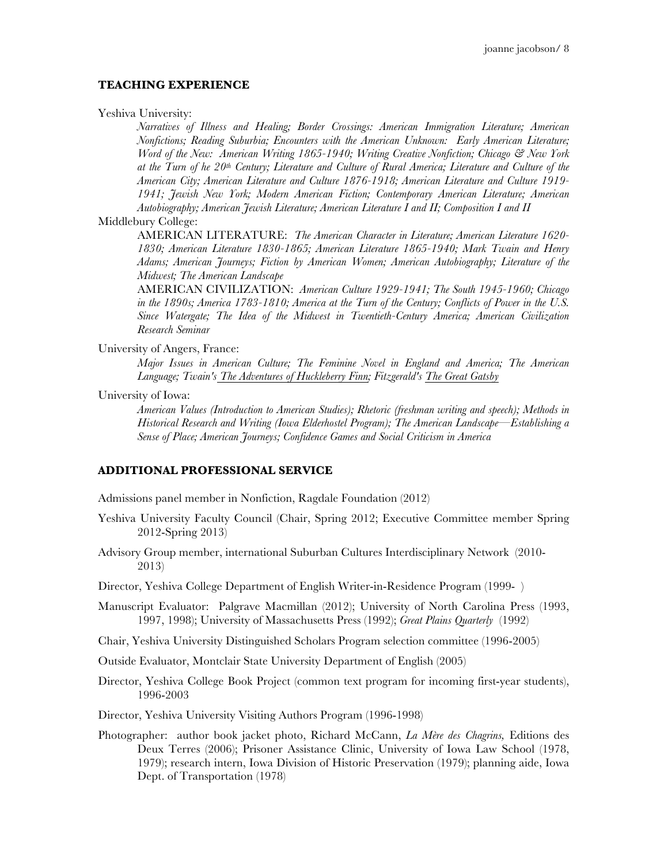#### **TEACHING EXPERIENCE**

Yeshiva University:

*Narratives of Illness and Healing; Border Crossings: American Immigration Literature; American Nonfictions; Reading Suburbia; Encounters with the American Unknown: Early American Literature; Word of the New: American Writing 1865-1940; Writing Creative Nonfiction; Chicago & New York at the Turn of he 20th Century; Literature and Culture of Rural America; Literature and Culture of the American City; American Literature and Culture 1876-1918; American Literature and Culture 1919- 1941; Jewish New York; Modern American Fiction; Contemporary American Literature; American Autobiography; American Jewish Literature; American Literature I and II; Composition I and II*

#### Middlebury College:

AMERICAN LITERATURE: *The American Character in Literature; American Literature 1620- 1830; American Literature 1830-1865; American Literature 1865-1940; Mark Twain and Henry Adams; American Journeys; Fiction by American Women; American Autobiography; Literature of the Midwest; The American Landscape*

AMERICAN CIVILIZATION: *American Culture 1929-1941; The South 1945-1960; Chicago in the 1890s; America 1783-1810; America at the Turn of the Century; Conflicts of Power in the U.S. Since Watergate; The Idea of the Midwest in Twentieth-Century America; American Civilization Research Seminar*

University of Angers, France:

*Major Issues in American Culture; The Feminine Novel in England and America; The American Language; Twain's The Adventures of Huckleberry Finn; Fitzgerald's The Great Gatsby*

University of Iowa:

*American Values (Introduction to American Studies); Rhetoric (freshman writing and speech); Methods in Historical Research and Writing (Iowa Elderhostel Program); The American Landscape—Establishing a Sense of Place; American Journeys; Confidence Games and Social Criticism in America*

#### **ADDITIONAL PROFESSIONAL SERVICE**

Admissions panel member in Nonfiction, Ragdale Foundation (2012)

- Yeshiva University Faculty Council (Chair, Spring 2012; Executive Committee member Spring 2012-Spring 2013)
- Advisory Group member, international Suburban Cultures Interdisciplinary Network (2010- 2013)

Director, Yeshiva College Department of English Writer-in-Residence Program (1999- )

Manuscript Evaluator: Palgrave Macmillan (2012); University of North Carolina Press (1993, 1997, 1998); University of Massachusetts Press (1992); *Great Plains Quarterly* (1992)

Chair, Yeshiva University Distinguished Scholars Program selection committee (1996-2005)

Outside Evaluator, Montclair State University Department of English (2005)

Director, Yeshiva College Book Project (common text program for incoming first-year students), 1996-2003

Director, Yeshiva University Visiting Authors Program (1996-1998)

Photographer: author book jacket photo, Richard McCann, *La Mère des Chagrins,* Editions des Deux Terres (2006); Prisoner Assistance Clinic, University of Iowa Law School (1978, 1979); research intern, Iowa Division of Historic Preservation (1979); planning aide, Iowa Dept. of Transportation (1978)